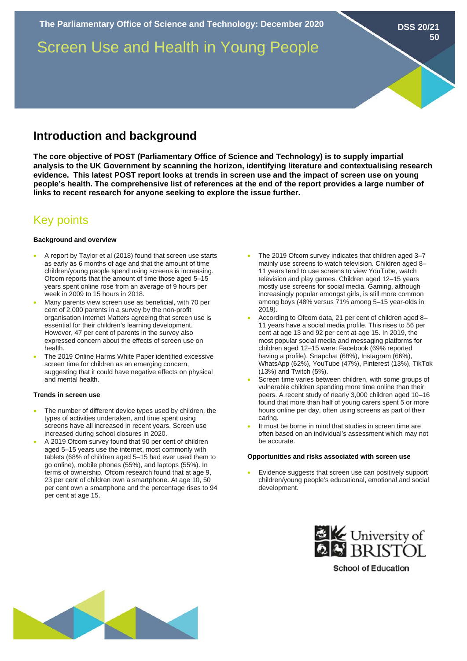**The Parliamentary Office of Science and Technology: December 2020**

Screen Use and Health in Young People

# **Introduction and background**

**The core objective of POST (Parliamentary Office of Science and Technology) is to supply impartial analysis to the UK Government by scanning the horizon, identifying literature and contextualising research evidence. This latest POST report looks at trends in screen use and the impact of screen use on young people's health. The comprehensive list of references at the end of the report provides a large number of links to recent research for anyone seeking to explore the issue further.** 

# Key points

# **Background and overview**

- A report by Taylor et al (2018) found that screen use starts as early as 6 months of age and that the amount of time children/young people spend using screens is increasing. Ofcom reports that the amount of time those aged 5–15 years spent online rose from an average of 9 hours per week in 2009 to 15 hours in 2018.
- Many parents view screen use as beneficial, with 70 per cent of 2,000 parents in a survey by the non-profit organisation Internet Matters agreeing that screen use is essential for their children's learning development. However, 47 per cent of parents in the survey also expressed concern about the effects of screen use on health.
- The 2019 Online Harms White Paper identified excessive screen time for children as an emerging concern, suggesting that it could have negative effects on physical and mental health.

# **Trends in screen use**

- The number of different device types used by children, the types of activities undertaken, and time spent using screens have all increased in recent years. Screen use increased during school closures in 2020.
- A 2019 Ofcom survey found that 90 per cent of children aged 5–15 years use the internet, most commonly with tablets (68% of children aged 5–15 had ever used them to go online), mobile phones (55%), and laptops (55%). In terms of ownership, Ofcom research found that at age 9, 23 per cent of children own a smartphone. At age 10, 50 per cent own a smartphone and the percentage rises to 94 per cent at age 15.

The 2019 Ofcom survey indicates that children aged 3-7 mainly use screens to watch television. Children aged 8– 11 years tend to use screens to view YouTube, watch television and play games. Children aged 12–15 years mostly use screens for social media. Gaming, although increasingly popular amongst girls, is still more common among boys (48% versus 71% among 5–15 year-olds in 2019).

**DSS 20/21**

**50**

- According to Ofcom data, 21 per cent of children aged 8– 11 years have a social media profile. This rises to 56 per cent at age 13 and 92 per cent at age 15. In 2019, the most popular social media and messaging platforms for children aged 12–15 were: Facebook (69% reported having a profile), Snapchat (68%), Instagram (66%), WhatsApp (62%), YouTube (47%), Pinterest (13%), TikTok (13%) and Twitch (5%).
- Screen time varies between children, with some groups of vulnerable children spending more time online than their peers. A recent study of nearly 3,000 children aged 10–16 found that more than half of young carers spent 5 or more hours online per day, often using screens as part of their caring.
- It must be borne in mind that studies in screen time are often based on an individual's assessment which may not be accurate.

#### **Opportunities and risks associated with screen use**

• Evidence suggests that screen use can positively support children/young people's educational, emotional and social development.



**School of Education**